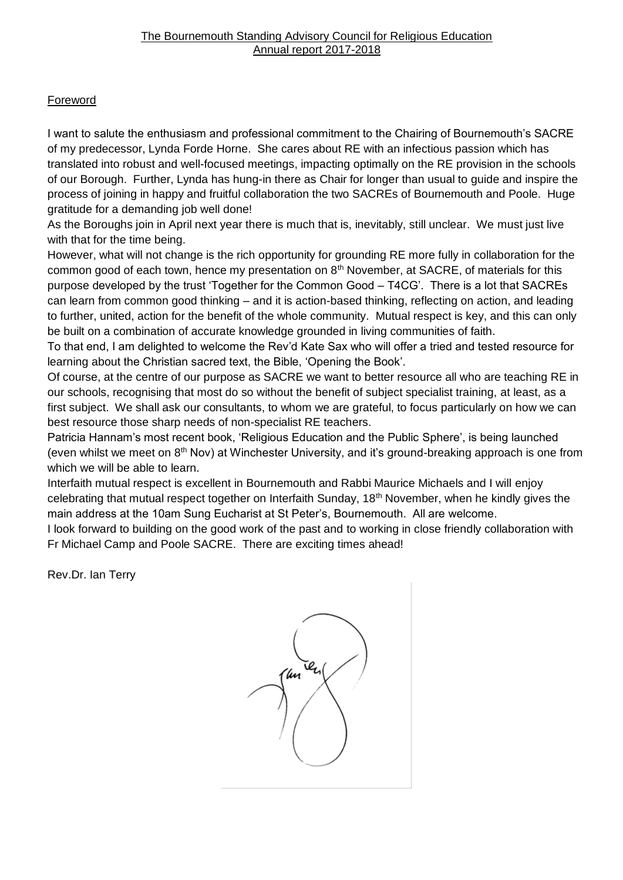# **Foreword**

I want to salute the enthusiasm and professional commitment to the Chairing of Bournemouth's SACRE of my predecessor, Lynda Forde Horne. She cares about RE with an infectious passion which has translated into robust and well-focused meetings, impacting optimally on the RE provision in the schools of our Borough. Further, Lynda has hung-in there as Chair for longer than usual to guide and inspire the process of joining in happy and fruitful collaboration the two SACREs of Bournemouth and Poole. Huge gratitude for a demanding job well done!

As the Boroughs join in April next year there is much that is, inevitably, still unclear. We must just live with that for the time being.

However, what will not change is the rich opportunity for grounding RE more fully in collaboration for the common good of each town, hence my presentation on 8<sup>th</sup> November, at SACRE, of materials for this purpose developed by the trust 'Together for the Common Good – T4CG'. There is a lot that SACREs can learn from common good thinking – and it is action-based thinking, reflecting on action, and leading to further, united, action for the benefit of the whole community. Mutual respect is key, and this can only be built on a combination of accurate knowledge grounded in living communities of faith.

To that end, I am delighted to welcome the Rev'd Kate Sax who will offer a tried and tested resource for learning about the Christian sacred text, the Bible, 'Opening the Book'.

Of course, at the centre of our purpose as SACRE we want to better resource all who are teaching RE in our schools, recognising that most do so without the benefit of subject specialist training, at least, as a first subject. We shall ask our consultants, to whom we are grateful, to focus particularly on how we can best resource those sharp needs of non-specialist RE teachers.

Patricia Hannam's most recent book, 'Religious Education and the Public Sphere', is being launched (even whilst we meet on  $8<sup>th</sup>$  Nov) at Winchester University, and it's ground-breaking approach is one from which we will be able to learn.

Interfaith mutual respect is excellent in Bournemouth and Rabbi Maurice Michaels and I will enjoy celebrating that mutual respect together on Interfaith Sunday, 18<sup>th</sup> November, when he kindly gives the main address at the 10am Sung Eucharist at St Peter's, Bournemouth. All are welcome.

I look forward to building on the good work of the past and to working in close friendly collaboration with Fr Michael Camp and Poole SACRE. There are exciting times ahead!

Rev.Dr. Ian Terry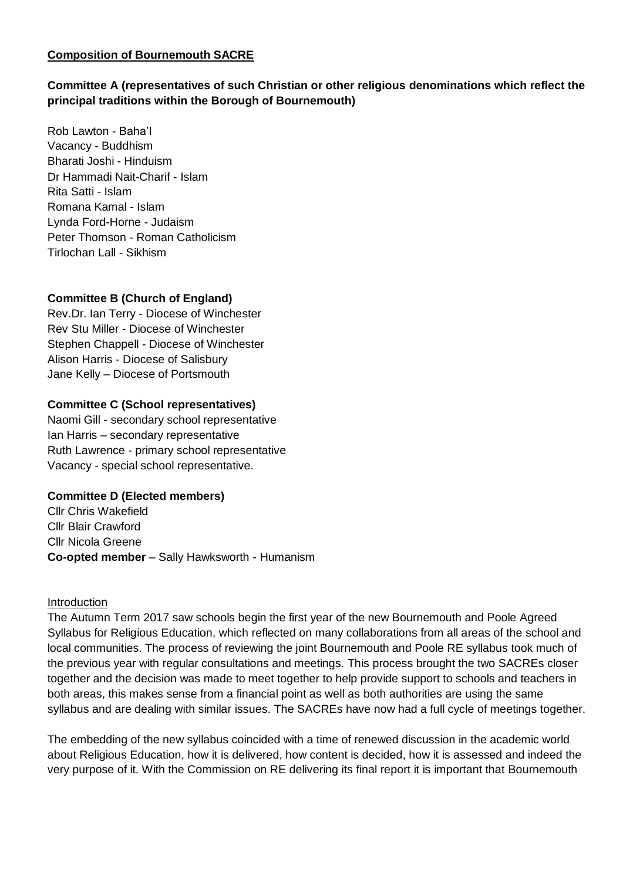## **Composition of Bournemouth SACRE**

## **Committee A (representatives of such Christian or other religious denominations which reflect the principal traditions within the Borough of Bournemouth)**

Rob Lawton - Baha'I Vacancy - Buddhism Bharati Joshi - Hinduism Dr Hammadi Nait-Charif - Islam Rita Satti - Islam Romana Kamal - Islam Lynda Ford-Horne - Judaism Peter Thomson - Roman Catholicism Tirlochan Lall - Sikhism

## **Committee B (Church of England)**

Rev.Dr. Ian Terry - Diocese of Winchester Rev Stu Miller - Diocese of Winchester Stephen Chappell - Diocese of Winchester Alison Harris - Diocese of Salisbury Jane Kelly – Diocese of Portsmouth

#### **Committee C (School representatives)**

Naomi Gill - secondary school representative Ian Harris – secondary representative Ruth Lawrence - primary school representative Vacancy - special school representative.

#### **Committee D (Elected members)**

Cllr Chris Wakefield Cllr Blair Crawford Cllr Nicola Greene **Co-opted member** – Sally Hawksworth - Humanism

#### Introduction

The Autumn Term 2017 saw schools begin the first year of the new Bournemouth and Poole Agreed Syllabus for Religious Education, which reflected on many collaborations from all areas of the school and local communities. The process of reviewing the joint Bournemouth and Poole RE syllabus took much of the previous year with regular consultations and meetings. This process brought the two SACREs closer together and the decision was made to meet together to help provide support to schools and teachers in both areas, this makes sense from a financial point as well as both authorities are using the same syllabus and are dealing with similar issues. The SACREs have now had a full cycle of meetings together.

The embedding of the new syllabus coincided with a time of renewed discussion in the academic world about Religious Education, how it is delivered, how content is decided, how it is assessed and indeed the very purpose of it. With the Commission on RE delivering its final report it is important that Bournemouth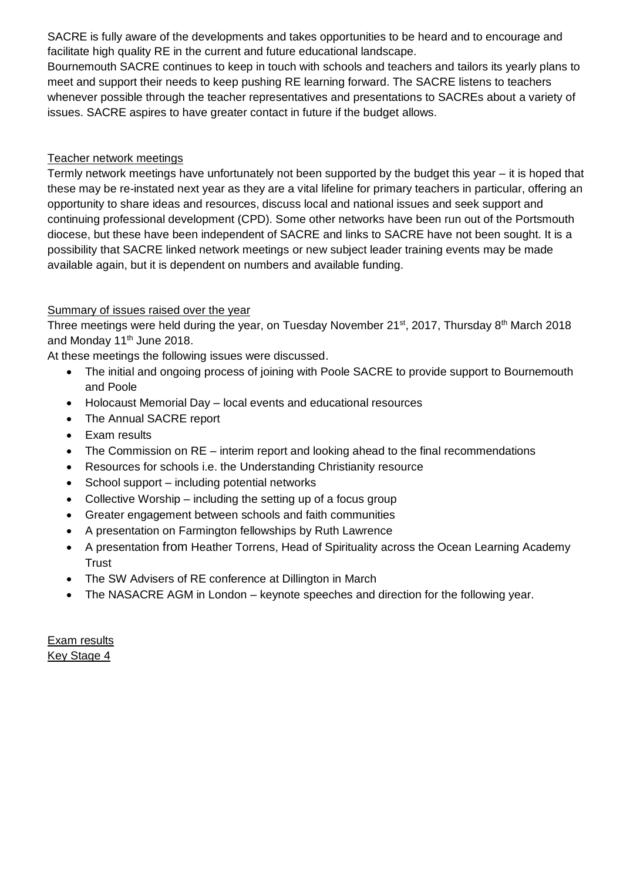SACRE is fully aware of the developments and takes opportunities to be heard and to encourage and facilitate high quality RE in the current and future educational landscape.

Bournemouth SACRE continues to keep in touch with schools and teachers and tailors its yearly plans to meet and support their needs to keep pushing RE learning forward. The SACRE listens to teachers whenever possible through the teacher representatives and presentations to SACREs about a variety of issues. SACRE aspires to have greater contact in future if the budget allows.

## Teacher network meetings

Termly network meetings have unfortunately not been supported by the budget this year – it is hoped that these may be re-instated next year as they are a vital lifeline for primary teachers in particular, offering an opportunity to share ideas and resources, discuss local and national issues and seek support and continuing professional development (CPD). Some other networks have been run out of the Portsmouth diocese, but these have been independent of SACRE and links to SACRE have not been sought. It is a possibility that SACRE linked network meetings or new subject leader training events may be made available again, but it is dependent on numbers and available funding.

## Summary of issues raised over the year

Three meetings were held during the year, on Tuesday November 21<sup>st</sup>, 2017, Thursday 8<sup>th</sup> March 2018 and Monday 11<sup>th</sup> June 2018.

At these meetings the following issues were discussed.

- The initial and ongoing process of joining with Poole SACRE to provide support to Bournemouth and Poole
- Holocaust Memorial Day local events and educational resources
- The Annual SACRE report
- Exam results
- The Commission on RE interim report and looking ahead to the final recommendations
- Resources for schools i.e. the Understanding Christianity resource
- School support including potential networks
- Collective Worship including the setting up of a focus group
- Greater engagement between schools and faith communities
- A presentation on Farmington fellowships by Ruth Lawrence
- A presentation from Heather Torrens, Head of Spirituality across the Ocean Learning Academy Trust
- The SW Advisers of RE conference at Dillington in March
- The NASACRE AGM in London keynote speeches and direction for the following year.

Exam results Key Stage 4